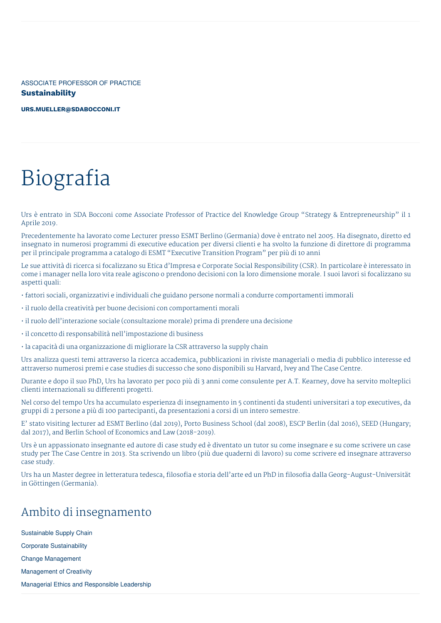ASSOCIATE PROFESSOR OF PRACTICE **Sustainability**

**[URS.MUELLER@SDABOCCONI.IT](mailto:urs.mueller@sdabocconi.it)**

# Biografia

Urs è entrato in SDA Bocconi come Associate Professor of Practice del Knowledge Group "Strategy & Entrepreneurship" il 1 Aprile 2019.

Precedentemente ha lavorato come Lecturer presso ESMT Berlino (Germania) dove è entrato nel 2005. Ha disegnato, diretto ed insegnato in numerosi programmi di executive education per diversi clienti e ha svolto la funzione di direttore di programma per il principale programma a catalogo di ESMT "Executive Transition Program" per più di 10 anni

Le sue attività di ricerca si focalizzano su Etica d'Impresa e Corporate Social Responsibility (CSR). In particolare è interessato in come i manager nella loro vita reale agiscono o prendono decisioni con la loro dimensione morale. I suoi lavori si focalizzano su aspetti quali:

• fattori sociali, organizzativi e individuali che guidano persone normali a condurre comportamenti immorali

- il ruolo della creatività per buone decisioni con comportamenti morali
- il ruolo dell'interazione sociale (consultazione morale) prima di prendere una decisione
- il concetto di responsabilità nell'impostazione di business
- la capacità di una organizzazione di migliorare la CSR attraverso la supply chain

Urs analizza questi temi attraverso la ricerca accademica, pubblicazioni in riviste manageriali o media di pubblico interesse ed attraverso numerosi premi e case studies di successo che sono disponibili su Harvard, Ivey and The Case Centre.

Durante e dopo il suo PhD, Urs ha lavorato per poco più di 3 anni come consulente per A.T. Kearney, dove ha servito molteplici clienti internazionali su differenti progetti.

Nel corso del tempo Urs ha accumulato esperienza di insegnamento in 5 continenti da studenti universitari a top executives, da gruppi di 2 persone a più di 100 partecipanti, da presentazioni a corsi di un intero semestre.

E' stato visiting lecturer ad ESMT Berlino (dal 2019), Porto Business School (dal 2008), ESCP Berlin (dal 2016), SEED (Hungary; dal 2017), and Berlin School of Economics and Law (2018-2019).

Urs è un appassionato insegnante ed autore di case study ed è diventato un tutor su come insegnare e su come scrivere un case study per The Case Centre in 2013. Sta scrivendo un libro (più due quaderni di lavoro) su come scrivere ed insegnare attraverso case study.

Urs ha un Master degree in letteratura tedesca, filosofia e storia dell'arte ed un PhD in filosofia dalla Georg-August-Universität in Göttingen (Germania).

# Ambito di insegnamento

Sustainable Supply Chain Corporate Sustainability Change Management Management of Creativity Managerial Ethics and Responsible Leadership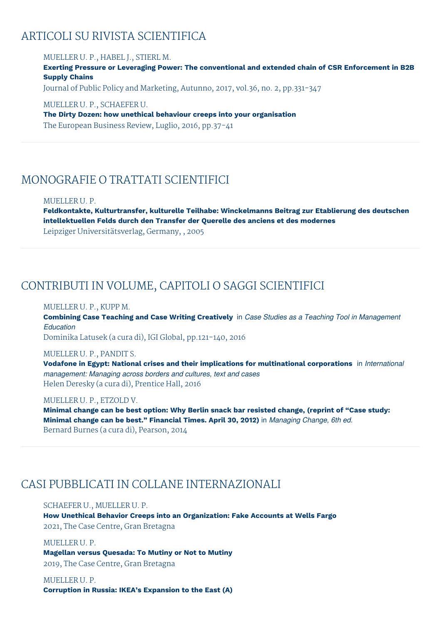### ARTICOLI SU RIVISTA SCIENTIFICA

MUELLER U. P., HABEL J., STIERL M. **Exerting Pressure or Leveraging Power: The conventional and extended chain of CSR Enforcement in B2B Supply Chains** Journal of Public Policy and Marketing, Autunno, 2017, vol.36, no. 2, pp.331-347 MUELLER U. P., SCHAEFER U.

**The Dirty Dozen: how unethical behaviour creeps into your organisation** The European Business Review, Luglio, 2016, pp.37-41

### MONOGRAFIE O TRATTATI SCIENTIFICI

#### MUELLER U. P.

**Feldkontakte, Kulturtransfer, kulturelle Teilhabe: Winckelmanns Beitrag zur Etablierung des deutschen intellektuellen Felds durch den Transfer der Querelle des anciens et des modernes**

Leipziger Universitätsverlag, Germany, , 2005

### CONTRIBUTI IN VOLUME, CAPITOLI O SAGGI SCIENTIFICI

### MUELLER U. P., KUPP M.

**Combining Case Teaching and Case Writing Creatively** in *Case Studies as a Teaching Tool in Management Education*

Dominika Latusek (a cura di), IGI Global, pp.121-140, 2016

#### MUELLER U. P., PANDIT S.

**Vodafone in Egypt: National crises and their implications for multinational corporations** in *International management: Managing across borders and cultures, text and cases* Helen Deresky (a cura di), Prentice Hall, 2016

#### MUELLER U. P., ETZOLD V.

**Minimal change can be best option: Why Berlin snack bar resisted change, (reprint of "Case study: Minimal change can be best." Financial Times. April 30, 2012)** in *Managing Change, 6th ed.* Bernard Burnes (a cura di), Pearson, 2014

### CASI PUBBLICATI IN COLLANE INTERNAZIONALI

### SCHAEFER U., MUELLER U. P.

**How Unethical Behavior Creeps into an Organization: Fake Accounts at Wells Fargo** 2021, The Case Centre, Gran Bretagna

#### MUELLER U. P.

**Magellan versus Quesada: To Mutiny or Not to Mutiny** 2019, The Case Centre, Gran Bretagna

# MUELLER U. P.

**Corruption in Russia: IKEA's Expansion to the East (A)**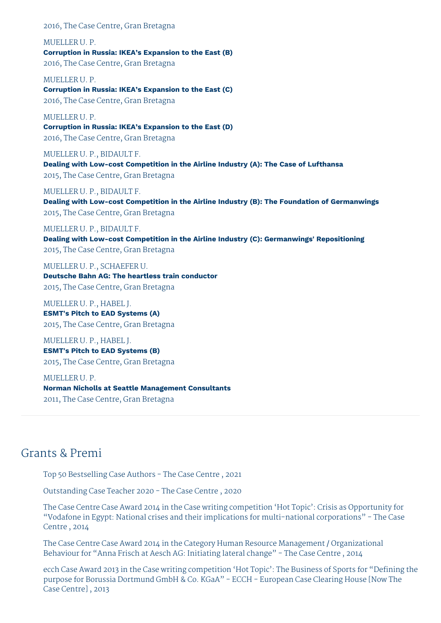#### 2016, The Case Centre, Gran Bretagna

MUELLER U. P. **Corruption in Russia: IKEA's Expansion to the East (B)** 2016, The Case Centre, Gran Bretagna

MUELLER U. P. **Corruption in Russia: IKEA's Expansion to the East (C)** 2016, The Case Centre, Gran Bretagna

MUELLER U. P. **Corruption in Russia: IKEA's Expansion to the East (D)** 2016, The Case Centre, Gran Bretagna

MUELLER U. P., BIDAULT F. **Dealing with Low-cost Competition in the Airline Industry (A): The Case of Lufthansa** 2015, The Case Centre, Gran Bretagna

#### MUELLER U. P., BIDAULT F.

**Dealing with Low-cost Competition in the Airline Industry (B): The Foundation of Germanwings** 2015, The Case Centre, Gran Bretagna

#### MUELLER U. P., BIDAULT F.

**Dealing with Low-cost Competition in the Airline Industry (C): Germanwings' Repositioning** 2015, The Case Centre, Gran Bretagna

MUELLER U. P., SCHAEFER U. **Deutsche Bahn AG: The heartless train conductor** 2015, The Case Centre, Gran Bretagna

MUELLER U. P., HABEL J. **ESMT's Pitch to EAD Systems (A)** 2015, The Case Centre, Gran Bretagna

MUELLER U. P., HABEL J. **ESMT's Pitch to EAD Systems (B)** 2015, The Case Centre, Gran Bretagna

MUELLER U. P. **Norman Nicholls at Seattle Management Consultants** 2011, The Case Centre, Gran Bretagna

### Grants & Premi

Top 50 Bestselling Case Authors - The Case Centre , 2021

Outstanding Case Teacher 2020 - The Case Centre , 2020

The Case Centre Case Award 2014 in the Case writing competition 'Hot Topic': Crisis as Opportunity for "Vodafone in Egypt: National crises and their implications for multi-national corporations" - The Case Centre , 2014

The Case Centre Case Award 2014 in the Category Human Resource Management / Organizational Behaviour for "Anna Frisch at Aesch AG: Initiating lateral change" - The Case Centre , 2014

ecch Case Award 2013 in the Case writing competition 'Hot Topic': The Business of Sports for "Defining the purpose for Borussia Dortmund GmbH & Co. KGaA" - ECCH - European Case Clearing House [Now The Case Centre] , 2013